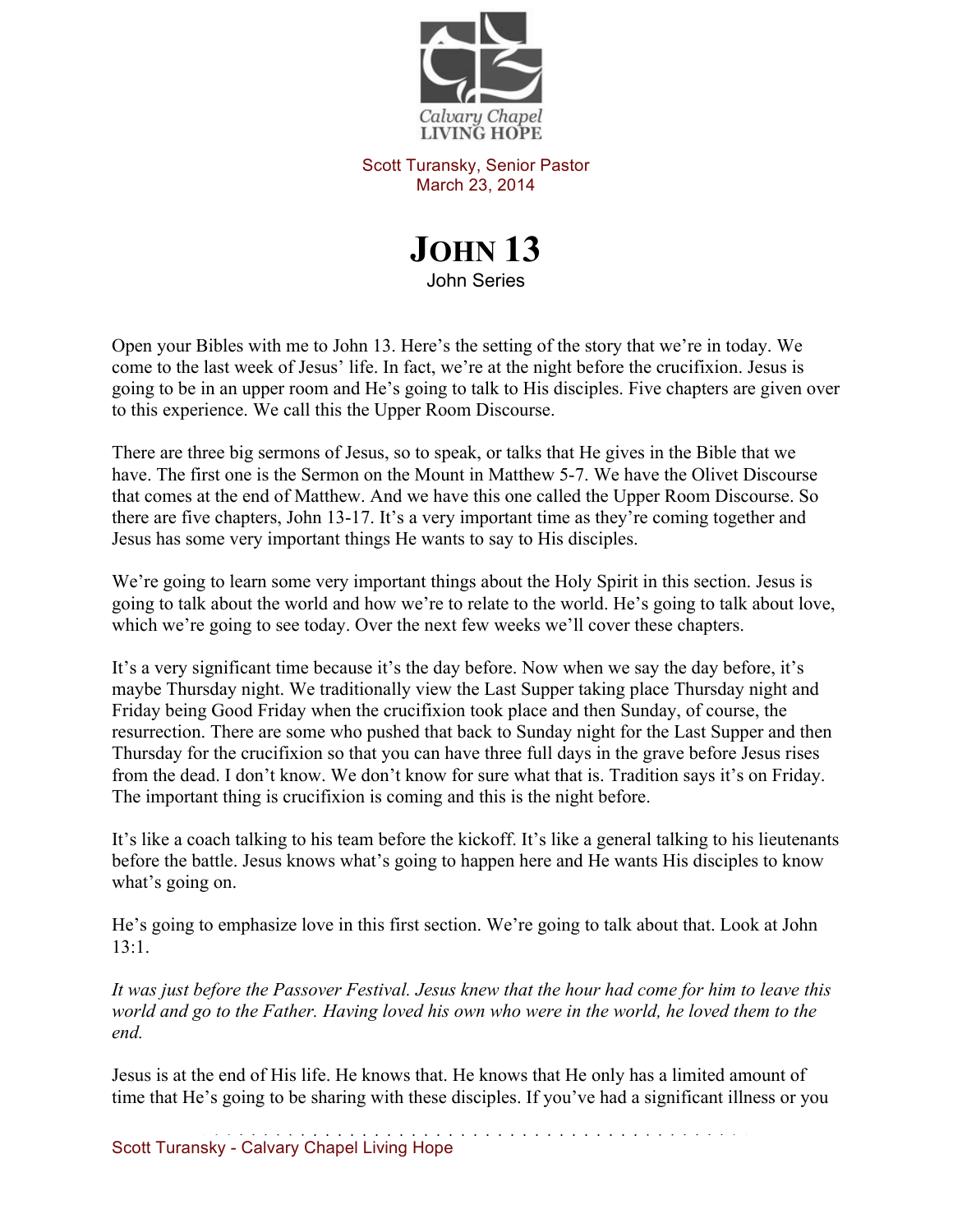

Scott Turansky, Senior Pastor March 23, 2014

## **JOHN 13** John Series

Open your Bibles with me to John 13. Here's the setting of the story that we're in today. We come to the last week of Jesus' life. In fact, we're at the night before the crucifixion. Jesus is going to be in an upper room and He's going to talk to His disciples. Five chapters are given over to this experience. We call this the Upper Room Discourse.

There are three big sermons of Jesus, so to speak, or talks that He gives in the Bible that we have. The first one is the Sermon on the Mount in Matthew 5-7. We have the Olivet Discourse that comes at the end of Matthew. And we have this one called the Upper Room Discourse. So there are five chapters, John 13-17. It's a very important time as they're coming together and Jesus has some very important things He wants to say to His disciples.

We're going to learn some very important things about the Holy Spirit in this section. Jesus is going to talk about the world and how we're to relate to the world. He's going to talk about love, which we're going to see today. Over the next few weeks we'll cover these chapters.

It's a very significant time because it's the day before. Now when we say the day before, it's maybe Thursday night. We traditionally view the Last Supper taking place Thursday night and Friday being Good Friday when the crucifixion took place and then Sunday, of course, the resurrection. There are some who pushed that back to Sunday night for the Last Supper and then Thursday for the crucifixion so that you can have three full days in the grave before Jesus rises from the dead. I don't know. We don't know for sure what that is. Tradition says it's on Friday. The important thing is crucifixion is coming and this is the night before.

It's like a coach talking to his team before the kickoff. It's like a general talking to his lieutenants before the battle. Jesus knows what's going to happen here and He wants His disciples to know what's going on.

He's going to emphasize love in this first section. We're going to talk about that. Look at John 13:1.

*It was just before the Passover Festival. Jesus knew that the hour had come for him to leave this world and go to the Father. Having loved his own who were in the world, he loved them to the end.*

Jesus is at the end of His life. He knows that. He knows that He only has a limited amount of time that He's going to be sharing with these disciples. If you've had a significant illness or you

Scott Turansky - Calvary Chapel Living Hope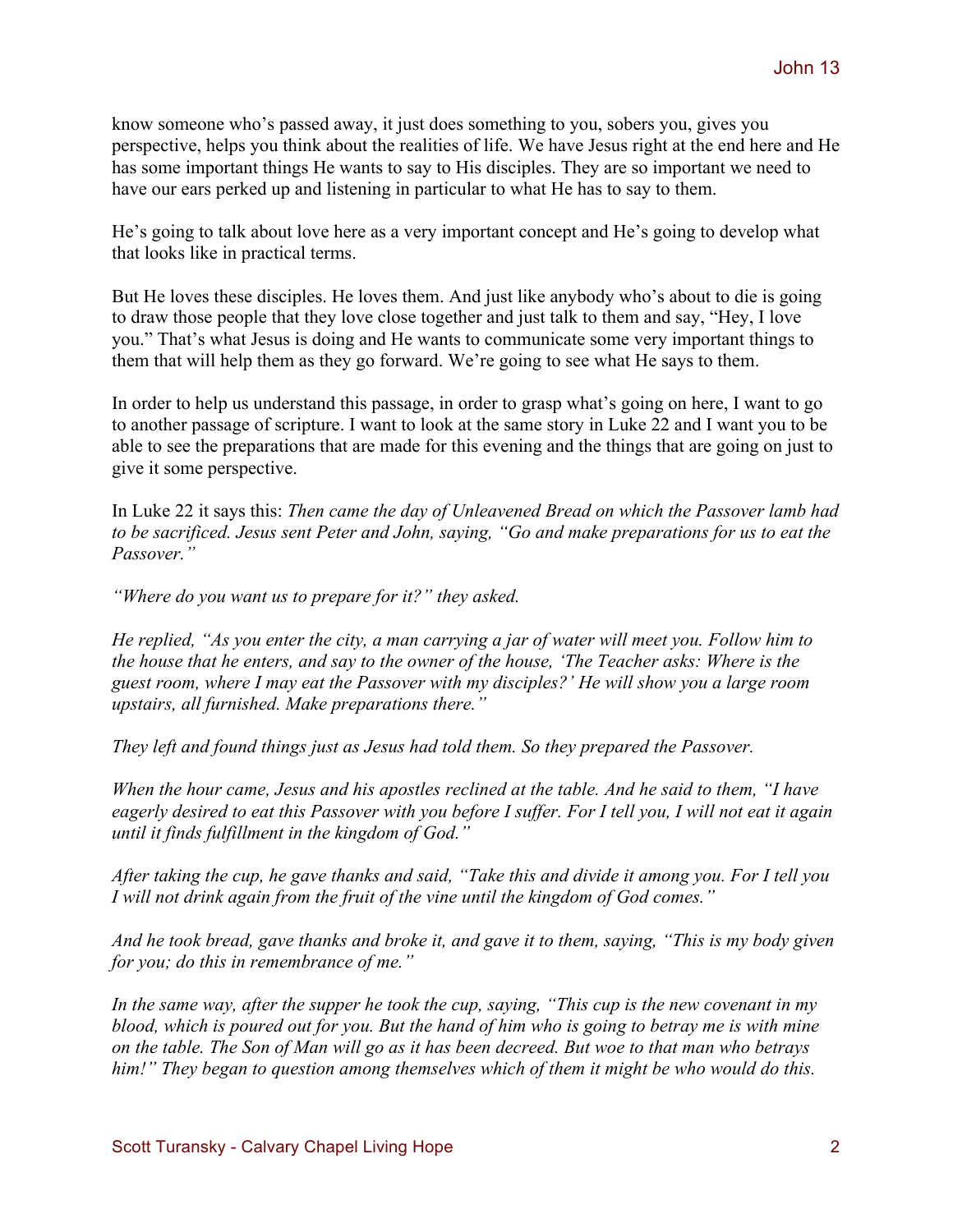know someone who's passed away, it just does something to you, sobers you, gives you perspective, helps you think about the realities of life. We have Jesus right at the end here and He has some important things He wants to say to His disciples. They are so important we need to have our ears perked up and listening in particular to what He has to say to them.

He's going to talk about love here as a very important concept and He's going to develop what that looks like in practical terms.

But He loves these disciples. He loves them. And just like anybody who's about to die is going to draw those people that they love close together and just talk to them and say, "Hey, I love you." That's what Jesus is doing and He wants to communicate some very important things to them that will help them as they go forward. We're going to see what He says to them.

In order to help us understand this passage, in order to grasp what's going on here, I want to go to another passage of scripture. I want to look at the same story in Luke 22 and I want you to be able to see the preparations that are made for this evening and the things that are going on just to give it some perspective.

In Luke 22 it says this: *Then came the day of Unleavened Bread on which the Passover lamb had to be sacrificed. Jesus sent Peter and John, saying, "Go and make preparations for us to eat the Passover."*

*"Where do you want us to prepare for it?" they asked.*

*He replied, "As you enter the city, a man carrying a jar of water will meet you. Follow him to the house that he enters, and say to the owner of the house, 'The Teacher asks: Where is the guest room, where I may eat the Passover with my disciples?' He will show you a large room upstairs, all furnished. Make preparations there."*

*They left and found things just as Jesus had told them. So they prepared the Passover.*

*When the hour came, Jesus and his apostles reclined at the table. And he said to them, "I have eagerly desired to eat this Passover with you before I suffer. For I tell you, I will not eat it again until it finds fulfillment in the kingdom of God."*

*After taking the cup, he gave thanks and said, "Take this and divide it among you. For I tell you I will not drink again from the fruit of the vine until the kingdom of God comes."*

*And he took bread, gave thanks and broke it, and gave it to them, saying, "This is my body given for you; do this in remembrance of me."*

*In the same way, after the supper he took the cup, saying, "This cup is the new covenant in my blood, which is poured out for you. But the hand of him who is going to betray me is with mine on the table. The Son of Man will go as it has been decreed. But woe to that man who betrays him!" They began to question among themselves which of them it might be who would do this.*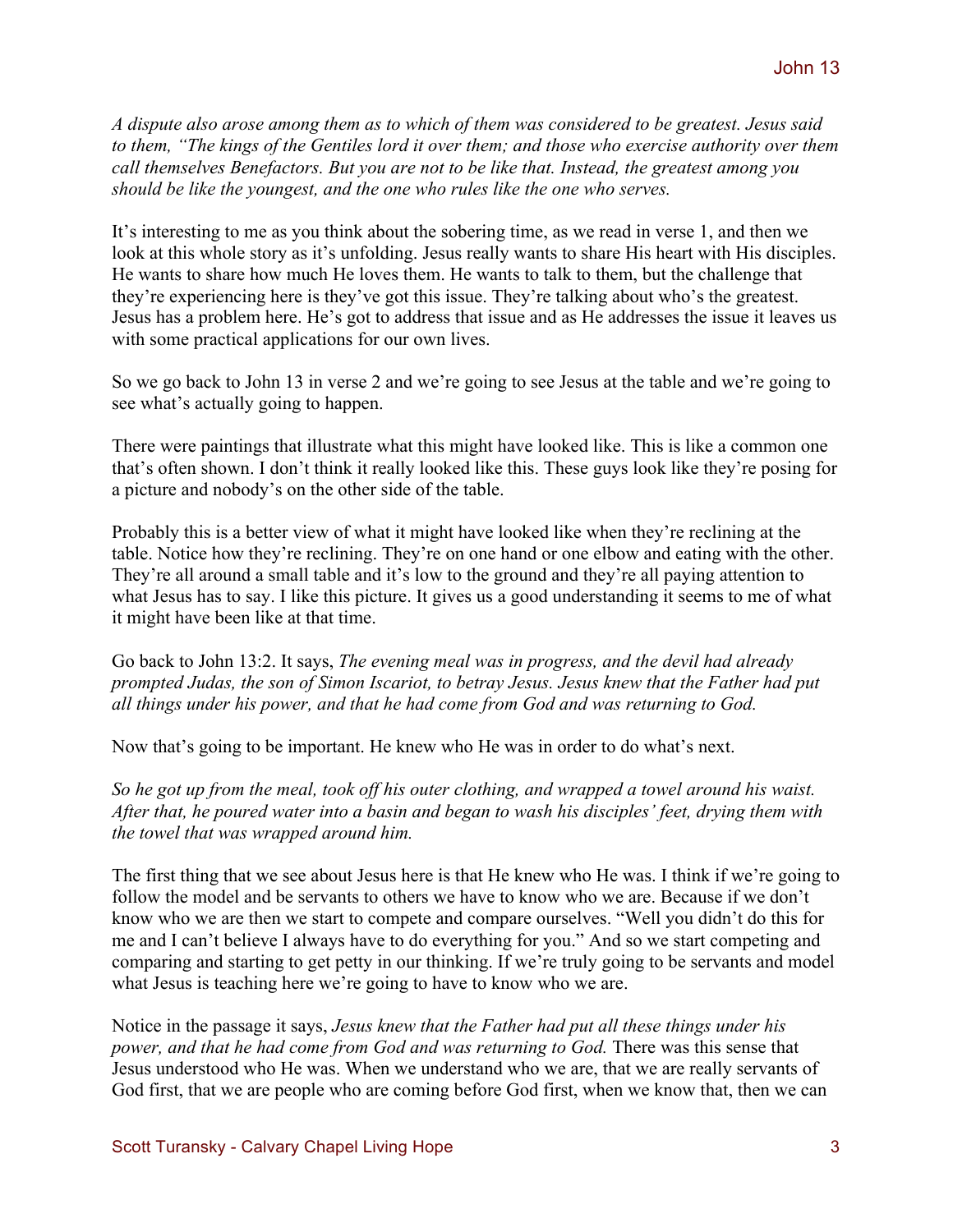*A dispute also arose among them as to which of them was considered to be greatest. Jesus said to them, "The kings of the Gentiles lord it over them; and those who exercise authority over them call themselves Benefactors. But you are not to be like that. Instead, the greatest among you should be like the youngest, and the one who rules like the one who serves.*

It's interesting to me as you think about the sobering time, as we read in verse 1, and then we look at this whole story as it's unfolding. Jesus really wants to share His heart with His disciples. He wants to share how much He loves them. He wants to talk to them, but the challenge that they're experiencing here is they've got this issue. They're talking about who's the greatest. Jesus has a problem here. He's got to address that issue and as He addresses the issue it leaves us with some practical applications for our own lives.

So we go back to John 13 in verse 2 and we're going to see Jesus at the table and we're going to see what's actually going to happen.

There were paintings that illustrate what this might have looked like. This is like a common one that's often shown. I don't think it really looked like this. These guys look like they're posing for a picture and nobody's on the other side of the table.

Probably this is a better view of what it might have looked like when they're reclining at the table. Notice how they're reclining. They're on one hand or one elbow and eating with the other. They're all around a small table and it's low to the ground and they're all paying attention to what Jesus has to say. I like this picture. It gives us a good understanding it seems to me of what it might have been like at that time.

Go back to John 13:2. It says, *The evening meal was in progress, and the devil had already prompted Judas, the son of Simon Iscariot, to betray Jesus. Jesus knew that the Father had put all things under his power, and that he had come from God and was returning to God.*

Now that's going to be important. He knew who He was in order to do what's next.

*So he got up from the meal, took off his outer clothing, and wrapped a towel around his waist. After that, he poured water into a basin and began to wash his disciples' feet, drying them with the towel that was wrapped around him.*

The first thing that we see about Jesus here is that He knew who He was. I think if we're going to follow the model and be servants to others we have to know who we are. Because if we don't know who we are then we start to compete and compare ourselves. "Well you didn't do this for me and I can't believe I always have to do everything for you." And so we start competing and comparing and starting to get petty in our thinking. If we're truly going to be servants and model what Jesus is teaching here we're going to have to know who we are.

Notice in the passage it says, *Jesus knew that the Father had put all these things under his power, and that he had come from God and was returning to God.* There was this sense that Jesus understood who He was. When we understand who we are, that we are really servants of God first, that we are people who are coming before God first, when we know that, then we can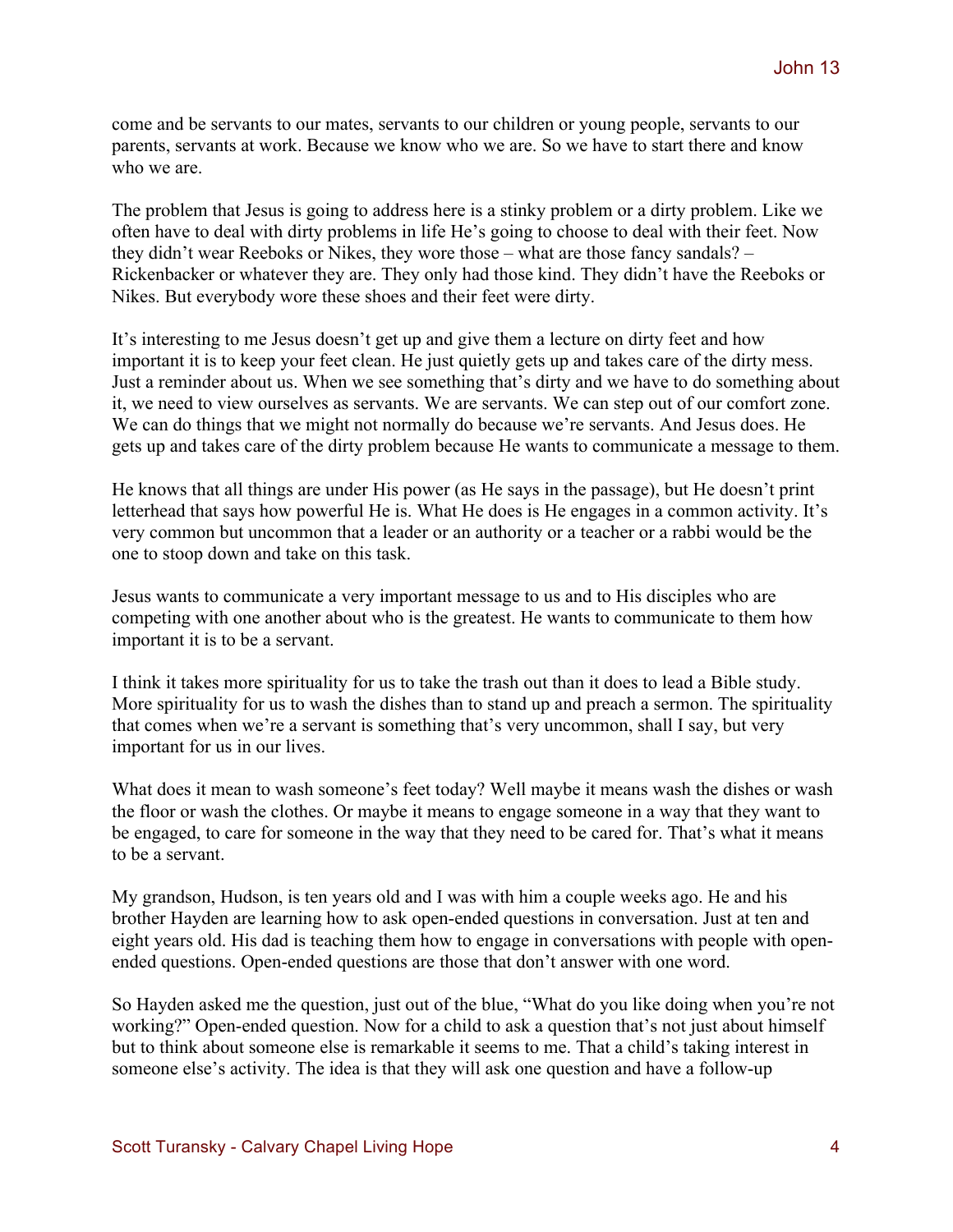come and be servants to our mates, servants to our children or young people, servants to our parents, servants at work. Because we know who we are. So we have to start there and know who we are.

The problem that Jesus is going to address here is a stinky problem or a dirty problem. Like we often have to deal with dirty problems in life He's going to choose to deal with their feet. Now they didn't wear Reeboks or Nikes, they wore those – what are those fancy sandals? – Rickenbacker or whatever they are. They only had those kind. They didn't have the Reeboks or Nikes. But everybody wore these shoes and their feet were dirty.

It's interesting to me Jesus doesn't get up and give them a lecture on dirty feet and how important it is to keep your feet clean. He just quietly gets up and takes care of the dirty mess. Just a reminder about us. When we see something that's dirty and we have to do something about it, we need to view ourselves as servants. We are servants. We can step out of our comfort zone. We can do things that we might not normally do because we're servants. And Jesus does. He gets up and takes care of the dirty problem because He wants to communicate a message to them.

He knows that all things are under His power (as He says in the passage), but He doesn't print letterhead that says how powerful He is. What He does is He engages in a common activity. It's very common but uncommon that a leader or an authority or a teacher or a rabbi would be the one to stoop down and take on this task.

Jesus wants to communicate a very important message to us and to His disciples who are competing with one another about who is the greatest. He wants to communicate to them how important it is to be a servant.

I think it takes more spirituality for us to take the trash out than it does to lead a Bible study. More spirituality for us to wash the dishes than to stand up and preach a sermon. The spirituality that comes when we're a servant is something that's very uncommon, shall I say, but very important for us in our lives.

What does it mean to wash someone's feet today? Well maybe it means wash the dishes or wash the floor or wash the clothes. Or maybe it means to engage someone in a way that they want to be engaged, to care for someone in the way that they need to be cared for. That's what it means to be a servant.

My grandson, Hudson, is ten years old and I was with him a couple weeks ago. He and his brother Hayden are learning how to ask open-ended questions in conversation. Just at ten and eight years old. His dad is teaching them how to engage in conversations with people with openended questions. Open-ended questions are those that don't answer with one word.

So Hayden asked me the question, just out of the blue, "What do you like doing when you're not working?" Open-ended question. Now for a child to ask a question that's not just about himself but to think about someone else is remarkable it seems to me. That a child's taking interest in someone else's activity. The idea is that they will ask one question and have a follow-up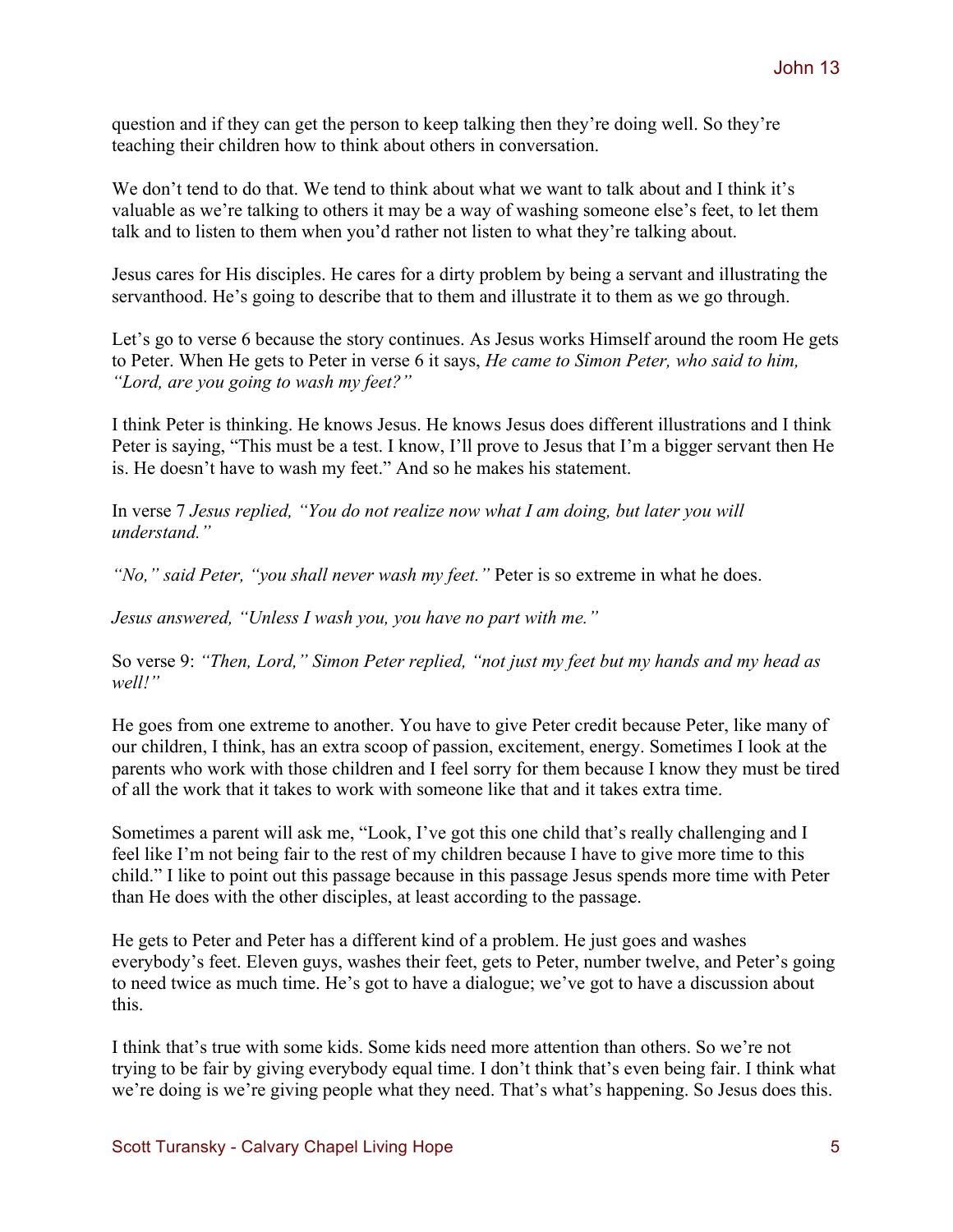question and if they can get the person to keep talking then they're doing well. So they're teaching their children how to think about others in conversation.

We don't tend to do that. We tend to think about what we want to talk about and I think it's valuable as we're talking to others it may be a way of washing someone else's feet, to let them talk and to listen to them when you'd rather not listen to what they're talking about.

Jesus cares for His disciples. He cares for a dirty problem by being a servant and illustrating the servanthood. He's going to describe that to them and illustrate it to them as we go through.

Let's go to verse 6 because the story continues. As Jesus works Himself around the room He gets to Peter. When He gets to Peter in verse 6 it says, *He came to Simon Peter, who said to him, "Lord, are you going to wash my feet?"*

I think Peter is thinking. He knows Jesus. He knows Jesus does different illustrations and I think Peter is saying, "This must be a test. I know, I'll prove to Jesus that I'm a bigger servant then He is. He doesn't have to wash my feet." And so he makes his statement.

In verse 7 *Jesus replied, "You do not realize now what I am doing, but later you will understand."*

*"No," said Peter, "you shall never wash my feet."* Peter is so extreme in what he does.

*Jesus answered, "Unless I wash you, you have no part with me."*

So verse 9: *"Then, Lord," Simon Peter replied, "not just my feet but my hands and my head as well!"*

He goes from one extreme to another. You have to give Peter credit because Peter, like many of our children, I think, has an extra scoop of passion, excitement, energy. Sometimes I look at the parents who work with those children and I feel sorry for them because I know they must be tired of all the work that it takes to work with someone like that and it takes extra time.

Sometimes a parent will ask me, "Look, I've got this one child that's really challenging and I feel like I'm not being fair to the rest of my children because I have to give more time to this child." I like to point out this passage because in this passage Jesus spends more time with Peter than He does with the other disciples, at least according to the passage.

He gets to Peter and Peter has a different kind of a problem. He just goes and washes everybody's feet. Eleven guys, washes their feet, gets to Peter, number twelve, and Peter's going to need twice as much time. He's got to have a dialogue; we've got to have a discussion about this.

I think that's true with some kids. Some kids need more attention than others. So we're not trying to be fair by giving everybody equal time. I don't think that's even being fair. I think what we're doing is we're giving people what they need. That's what's happening. So Jesus does this.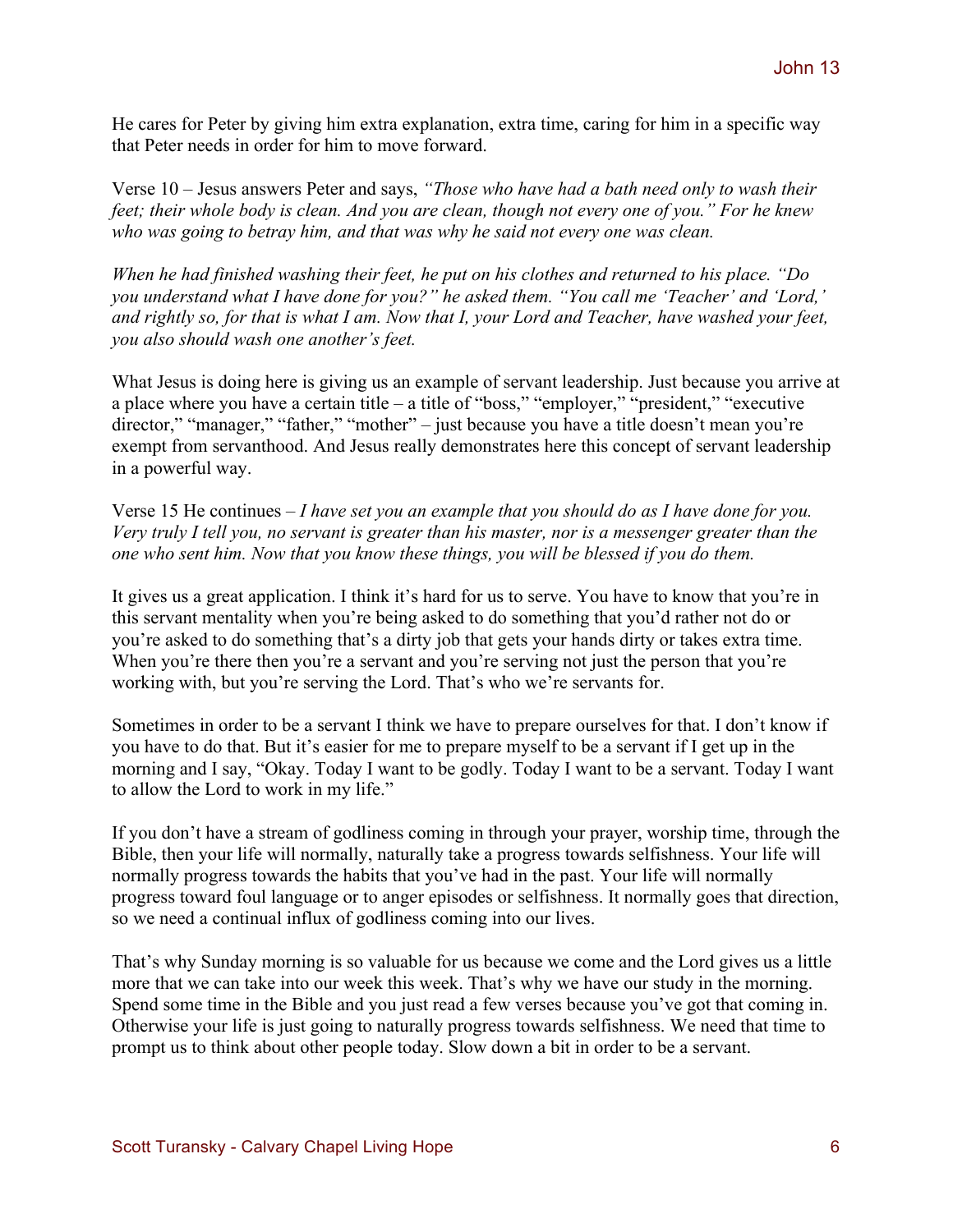He cares for Peter by giving him extra explanation, extra time, caring for him in a specific way that Peter needs in order for him to move forward.

Verse 10 – Jesus answers Peter and says, *"Those who have had a bath need only to wash their feet; their whole body is clean. And you are clean, though not every one of you." For he knew who was going to betray him, and that was why he said not every one was clean.*

*When he had finished washing their feet, he put on his clothes and returned to his place. "Do you understand what I have done for you?" he asked them. "You call me 'Teacher' and 'Lord,' and rightly so, for that is what I am. Now that I, your Lord and Teacher, have washed your feet, you also should wash one another's feet.* 

What Jesus is doing here is giving us an example of servant leadership. Just because you arrive at a place where you have a certain title – a title of "boss," "employer," "president," "executive director," "manager," "father," "mother" – just because you have a title doesn't mean you're exempt from servanthood. And Jesus really demonstrates here this concept of servant leadership in a powerful way.

Verse 15 He continues – *I have set you an example that you should do as I have done for you. Very truly I tell you, no servant is greater than his master, nor is a messenger greater than the one who sent him. Now that you know these things, you will be blessed if you do them.*

It gives us a great application. I think it's hard for us to serve. You have to know that you're in this servant mentality when you're being asked to do something that you'd rather not do or you're asked to do something that's a dirty job that gets your hands dirty or takes extra time. When you're there then you're a servant and you're serving not just the person that you're working with, but you're serving the Lord. That's who we're servants for.

Sometimes in order to be a servant I think we have to prepare ourselves for that. I don't know if you have to do that. But it's easier for me to prepare myself to be a servant if I get up in the morning and I say, "Okay. Today I want to be godly. Today I want to be a servant. Today I want to allow the Lord to work in my life."

If you don't have a stream of godliness coming in through your prayer, worship time, through the Bible, then your life will normally, naturally take a progress towards selfishness. Your life will normally progress towards the habits that you've had in the past. Your life will normally progress toward foul language or to anger episodes or selfishness. It normally goes that direction, so we need a continual influx of godliness coming into our lives.

That's why Sunday morning is so valuable for us because we come and the Lord gives us a little more that we can take into our week this week. That's why we have our study in the morning. Spend some time in the Bible and you just read a few verses because you've got that coming in. Otherwise your life is just going to naturally progress towards selfishness. We need that time to prompt us to think about other people today. Slow down a bit in order to be a servant.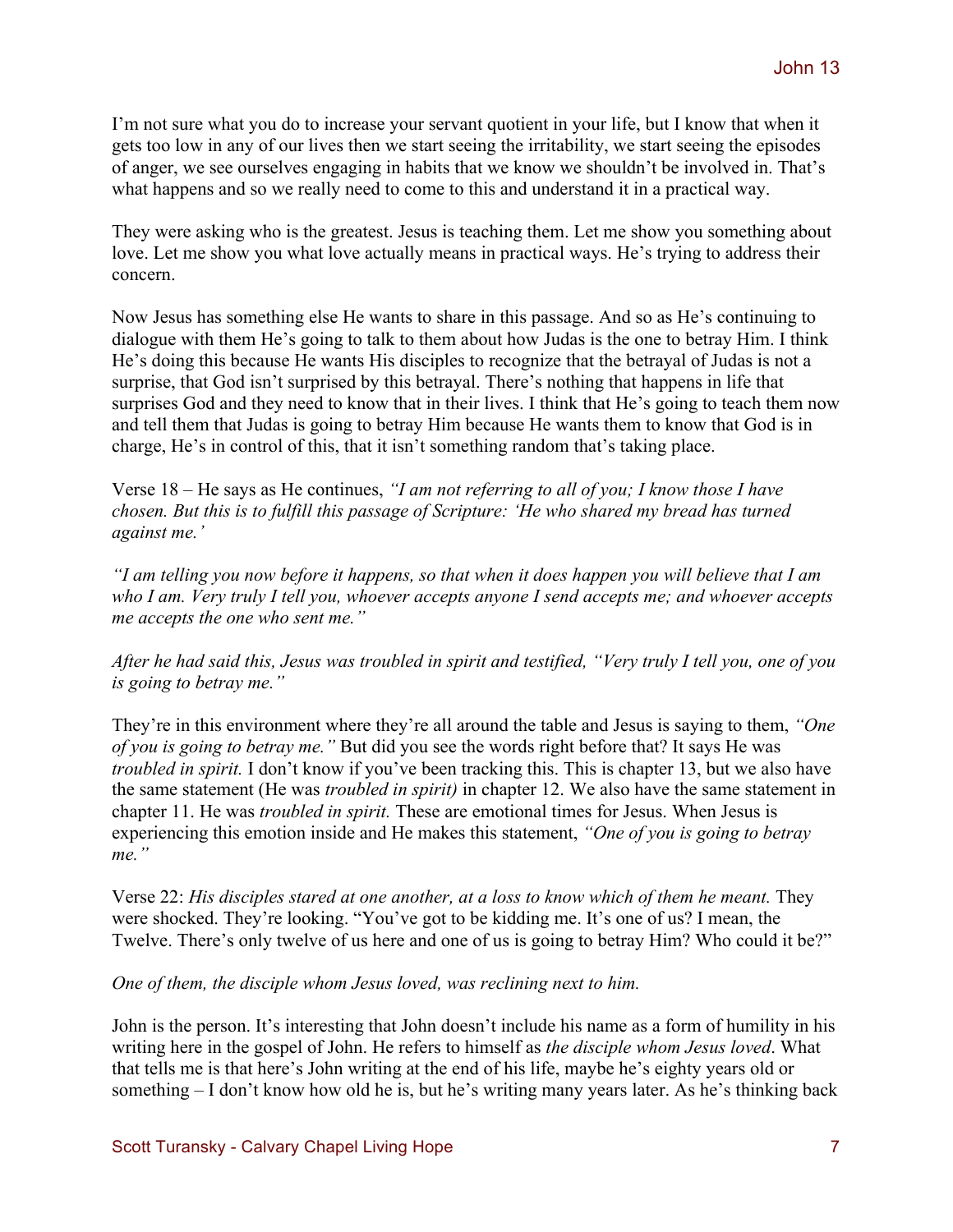I'm not sure what you do to increase your servant quotient in your life, but I know that when it gets too low in any of our lives then we start seeing the irritability, we start seeing the episodes of anger, we see ourselves engaging in habits that we know we shouldn't be involved in. That's what happens and so we really need to come to this and understand it in a practical way.

They were asking who is the greatest. Jesus is teaching them. Let me show you something about love. Let me show you what love actually means in practical ways. He's trying to address their concern.

Now Jesus has something else He wants to share in this passage. And so as He's continuing to dialogue with them He's going to talk to them about how Judas is the one to betray Him. I think He's doing this because He wants His disciples to recognize that the betrayal of Judas is not a surprise, that God isn't surprised by this betrayal. There's nothing that happens in life that surprises God and they need to know that in their lives. I think that He's going to teach them now and tell them that Judas is going to betray Him because He wants them to know that God is in charge, He's in control of this, that it isn't something random that's taking place.

Verse 18 – He says as He continues, *"I am not referring to all of you; I know those I have chosen. But this is to fulfill this passage of Scripture: 'He who shared my bread has turned against me.'*

*"I am telling you now before it happens, so that when it does happen you will believe that I am who I am. Very truly I tell you, whoever accepts anyone I send accepts me; and whoever accepts me accepts the one who sent me."*

*After he had said this, Jesus was troubled in spirit and testified, "Very truly I tell you, one of you is going to betray me."*

They're in this environment where they're all around the table and Jesus is saying to them, *"One of you is going to betray me."* But did you see the words right before that? It says He was *troubled in spirit.* I don't know if you've been tracking this. This is chapter 13, but we also have the same statement (He was *troubled in spirit)* in chapter 12. We also have the same statement in chapter 11. He was *troubled in spirit.* These are emotional times for Jesus. When Jesus is experiencing this emotion inside and He makes this statement, *"One of you is going to betray me."* 

Verse 22: *His disciples stared at one another, at a loss to know which of them he meant.* They were shocked. They're looking. "You've got to be kidding me. It's one of us? I mean, the Twelve. There's only twelve of us here and one of us is going to betray Him? Who could it be?"

*One of them, the disciple whom Jesus loved, was reclining next to him.*

John is the person. It's interesting that John doesn't include his name as a form of humility in his writing here in the gospel of John. He refers to himself as *the disciple whom Jesus loved*. What that tells me is that here's John writing at the end of his life, maybe he's eighty years old or something – I don't know how old he is, but he's writing many years later. As he's thinking back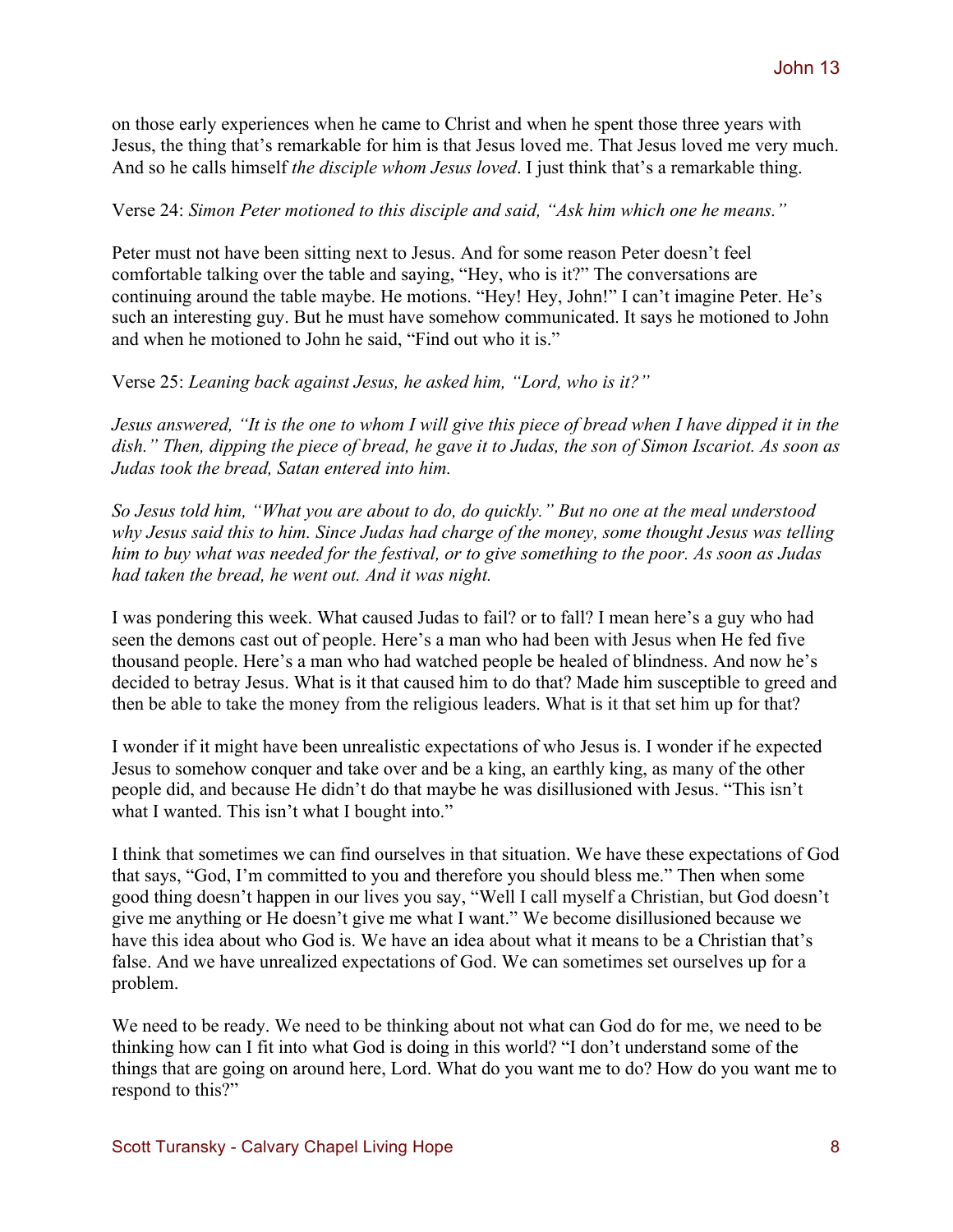on those early experiences when he came to Christ and when he spent those three years with Jesus, the thing that's remarkable for him is that Jesus loved me. That Jesus loved me very much. And so he calls himself *the disciple whom Jesus loved*. I just think that's a remarkable thing.

## Verse 24: *Simon Peter motioned to this disciple and said, "Ask him which one he means."*

Peter must not have been sitting next to Jesus. And for some reason Peter doesn't feel comfortable talking over the table and saying, "Hey, who is it?" The conversations are continuing around the table maybe. He motions. "Hey! Hey, John!" I can't imagine Peter. He's such an interesting guy. But he must have somehow communicated. It says he motioned to John and when he motioned to John he said, "Find out who it is."

Verse 25: *Leaning back against Jesus, he asked him, "Lord, who is it?"*

*Jesus answered, "It is the one to whom I will give this piece of bread when I have dipped it in the dish." Then, dipping the piece of bread, he gave it to Judas, the son of Simon Iscariot. As soon as Judas took the bread, Satan entered into him.*

*So Jesus told him, "What you are about to do, do quickly." But no one at the meal understood why Jesus said this to him. Since Judas had charge of the money, some thought Jesus was telling him to buy what was needed for the festival, or to give something to the poor. As soon as Judas had taken the bread, he went out. And it was night.*

I was pondering this week. What caused Judas to fail? or to fall? I mean here's a guy who had seen the demons cast out of people. Here's a man who had been with Jesus when He fed five thousand people. Here's a man who had watched people be healed of blindness. And now he's decided to betray Jesus. What is it that caused him to do that? Made him susceptible to greed and then be able to take the money from the religious leaders. What is it that set him up for that?

I wonder if it might have been unrealistic expectations of who Jesus is. I wonder if he expected Jesus to somehow conquer and take over and be a king, an earthly king, as many of the other people did, and because He didn't do that maybe he was disillusioned with Jesus. "This isn't what I wanted. This isn't what I bought into."

I think that sometimes we can find ourselves in that situation. We have these expectations of God that says, "God, I'm committed to you and therefore you should bless me." Then when some good thing doesn't happen in our lives you say, "Well I call myself a Christian, but God doesn't give me anything or He doesn't give me what I want." We become disillusioned because we have this idea about who God is. We have an idea about what it means to be a Christian that's false. And we have unrealized expectations of God. We can sometimes set ourselves up for a problem.

We need to be ready. We need to be thinking about not what can God do for me, we need to be thinking how can I fit into what God is doing in this world? "I don't understand some of the things that are going on around here, Lord. What do you want me to do? How do you want me to respond to this?"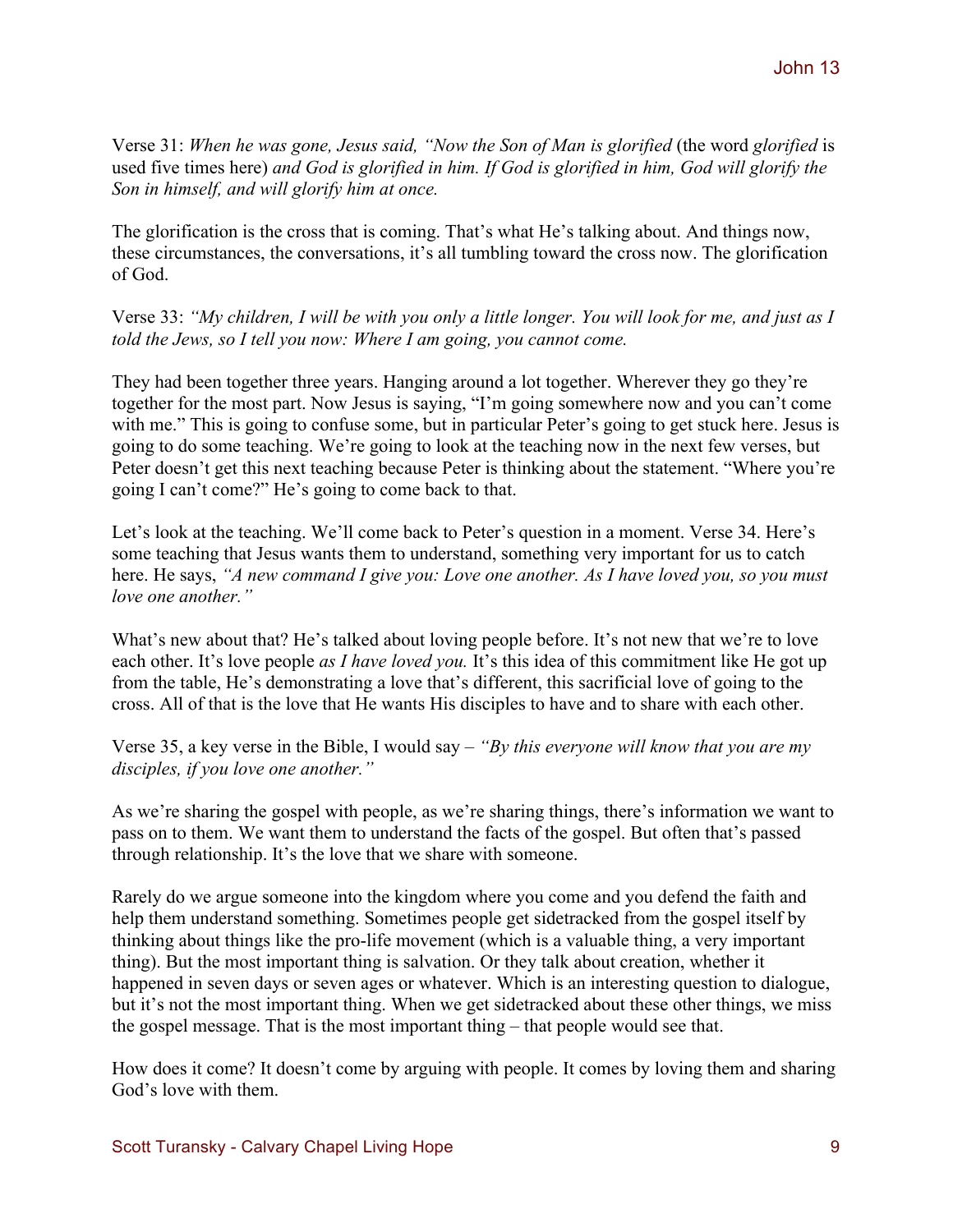Verse 31: *When he was gone, Jesus said, "Now the Son of Man is glorified* (the word *glorified* is used five times here) *and God is glorified in him. If God is glorified in him, God will glorify the Son in himself, and will glorify him at once.*

The glorification is the cross that is coming. That's what He's talking about. And things now, these circumstances, the conversations, it's all tumbling toward the cross now. The glorification of God.

Verse 33: *"My children, I will be with you only a little longer. You will look for me, and just as I told the Jews, so I tell you now: Where I am going, you cannot come.*

They had been together three years. Hanging around a lot together. Wherever they go they're together for the most part. Now Jesus is saying, "I'm going somewhere now and you can't come with me." This is going to confuse some, but in particular Peter's going to get stuck here. Jesus is going to do some teaching. We're going to look at the teaching now in the next few verses, but Peter doesn't get this next teaching because Peter is thinking about the statement. "Where you're going I can't come?" He's going to come back to that.

Let's look at the teaching. We'll come back to Peter's question in a moment. Verse 34. Here's some teaching that Jesus wants them to understand, something very important for us to catch here. He says, *"A new command I give you: Love one another. As I have loved you, so you must love one another."* 

What's new about that? He's talked about loving people before. It's not new that we're to love each other. It's love people *as I have loved you*. It's this idea of this commitment like He got up from the table, He's demonstrating a love that's different, this sacrificial love of going to the cross. All of that is the love that He wants His disciples to have and to share with each other.

Verse 35, a key verse in the Bible, I would say – *"By this everyone will know that you are my disciples, if you love one another."*

As we're sharing the gospel with people, as we're sharing things, there's information we want to pass on to them. We want them to understand the facts of the gospel. But often that's passed through relationship. It's the love that we share with someone.

Rarely do we argue someone into the kingdom where you come and you defend the faith and help them understand something. Sometimes people get sidetracked from the gospel itself by thinking about things like the pro-life movement (which is a valuable thing, a very important thing). But the most important thing is salvation. Or they talk about creation, whether it happened in seven days or seven ages or whatever. Which is an interesting question to dialogue, but it's not the most important thing. When we get sidetracked about these other things, we miss the gospel message. That is the most important thing – that people would see that.

How does it come? It doesn't come by arguing with people. It comes by loving them and sharing God's love with them.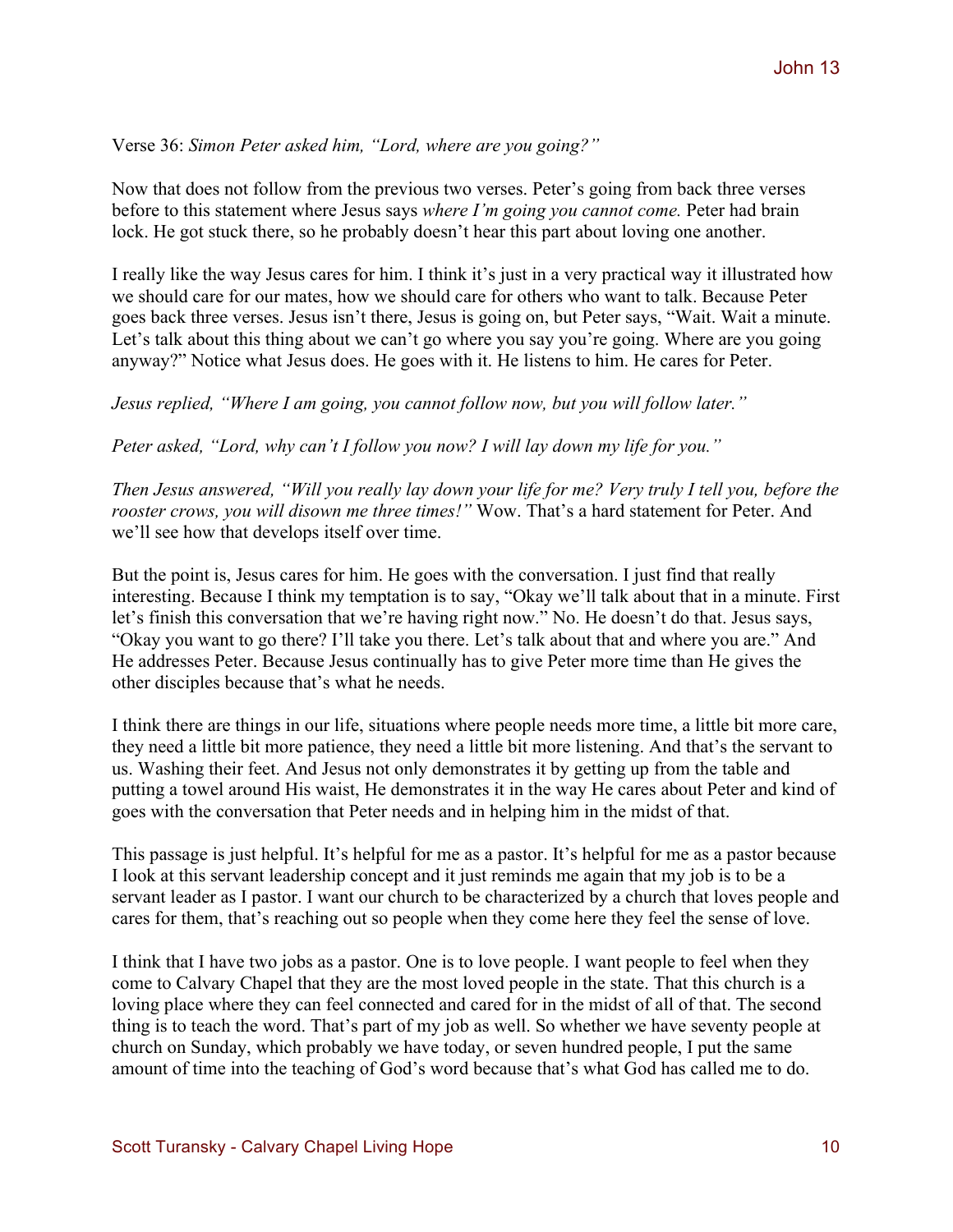Verse 36: *Simon Peter asked him, "Lord, where are you going?"*

Now that does not follow from the previous two verses. Peter's going from back three verses before to this statement where Jesus says *where I'm going you cannot come.* Peter had brain lock. He got stuck there, so he probably doesn't hear this part about loving one another.

I really like the way Jesus cares for him. I think it's just in a very practical way it illustrated how we should care for our mates, how we should care for others who want to talk. Because Peter goes back three verses. Jesus isn't there, Jesus is going on, but Peter says, "Wait. Wait a minute. Let's talk about this thing about we can't go where you say you're going. Where are you going anyway?" Notice what Jesus does. He goes with it. He listens to him. He cares for Peter.

*Jesus replied, "Where I am going, you cannot follow now, but you will follow later."*

*Peter asked, "Lord, why can't I follow you now? I will lay down my life for you."*

*Then Jesus answered, "Will you really lay down your life for me? Very truly I tell you, before the rooster crows, you will disown me three times!"* Wow. That's a hard statement for Peter. And we'll see how that develops itself over time.

But the point is, Jesus cares for him. He goes with the conversation. I just find that really interesting. Because I think my temptation is to say, "Okay we'll talk about that in a minute. First let's finish this conversation that we're having right now." No. He doesn't do that. Jesus says, "Okay you want to go there? I'll take you there. Let's talk about that and where you are." And He addresses Peter. Because Jesus continually has to give Peter more time than He gives the other disciples because that's what he needs.

I think there are things in our life, situations where people needs more time, a little bit more care, they need a little bit more patience, they need a little bit more listening. And that's the servant to us. Washing their feet. And Jesus not only demonstrates it by getting up from the table and putting a towel around His waist, He demonstrates it in the way He cares about Peter and kind of goes with the conversation that Peter needs and in helping him in the midst of that.

This passage is just helpful. It's helpful for me as a pastor. It's helpful for me as a pastor because I look at this servant leadership concept and it just reminds me again that my job is to be a servant leader as I pastor. I want our church to be characterized by a church that loves people and cares for them, that's reaching out so people when they come here they feel the sense of love.

I think that I have two jobs as a pastor. One is to love people. I want people to feel when they come to Calvary Chapel that they are the most loved people in the state. That this church is a loving place where they can feel connected and cared for in the midst of all of that. The second thing is to teach the word. That's part of my job as well. So whether we have seventy people at church on Sunday, which probably we have today, or seven hundred people, I put the same amount of time into the teaching of God's word because that's what God has called me to do.